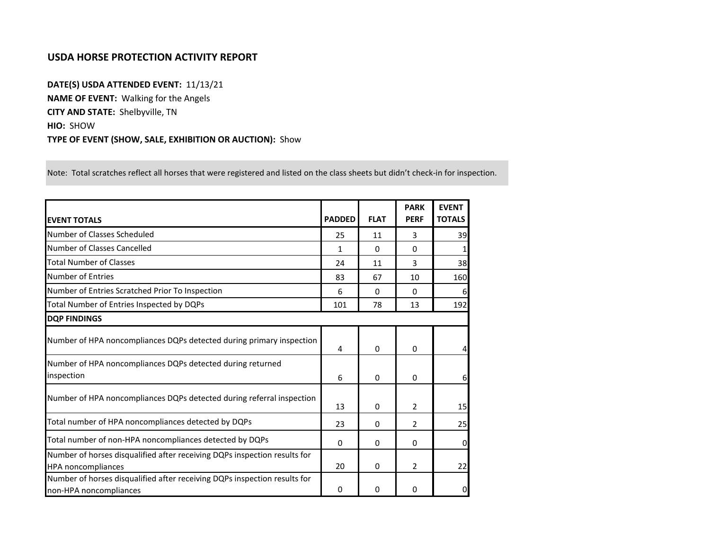## **USDA HORSE PROTECTION ACTIVITY REPORT**

**DATE(S) USDA ATTENDED EVENT:** 11/13/21 **NAME OF EVENT:** Walking for the Angels **CITY AND STATE:** Shelbyville, TN **HIO:** SHOW **TYPE OF EVENT (SHOW, SALE, EXHIBITION OR AUCTION):** Show

Note: Total scratches reflect all horses that were registered and listed on the class sheets but didn't check-in for inspection.

| <b>EVENT TOTALS</b>                                                                                    | <b>PADDED</b> | <b>FLAT</b> | <b>PARK</b><br><b>PERF</b> | <b>EVENT</b><br><b>TOTALS</b> |
|--------------------------------------------------------------------------------------------------------|---------------|-------------|----------------------------|-------------------------------|
| Number of Classes Scheduled                                                                            | 25            | 11          | 3                          | 39                            |
| Number of Classes Cancelled                                                                            | 1             | 0           | 0                          |                               |
| <b>Total Number of Classes</b>                                                                         | 24            | 11          | 3                          | 38                            |
| Number of Entries                                                                                      | 83            | 67          | 10                         | 160                           |
| Number of Entries Scratched Prior To Inspection                                                        | 6             | $\Omega$    | $\Omega$                   | 61                            |
| Total Number of Entries Inspected by DQPs                                                              | 101           | 78          | 13                         | 192                           |
| <b>DOP FINDINGS</b>                                                                                    |               |             |                            |                               |
| Number of HPA noncompliances DQPs detected during primary inspection                                   | 4             | 0           | $\mathbf{0}$               |                               |
| Number of HPA noncompliances DQPs detected during returned<br>inspection                               | 6             | 0           | $\Omega$                   | 6                             |
| Number of HPA noncompliances DQPs detected during referral inspection                                  | 13            | 0           | 2                          | 15                            |
| Total number of HPA noncompliances detected by DQPs                                                    | 23            | 0           | 2                          | 25                            |
| Total number of non-HPA noncompliances detected by DQPs                                                | $\Omega$      | 0           | $\mathbf{0}$               | $\overline{0}$                |
| Number of horses disqualified after receiving DQPs inspection results for<br><b>HPA</b> noncompliances | 20            | 0           | 2                          | 22                            |
| Number of horses disqualified after receiving DQPs inspection results for<br>non-HPA noncompliances    | 0             | 0           | $\Omega$                   | $\mathbf{O}$                  |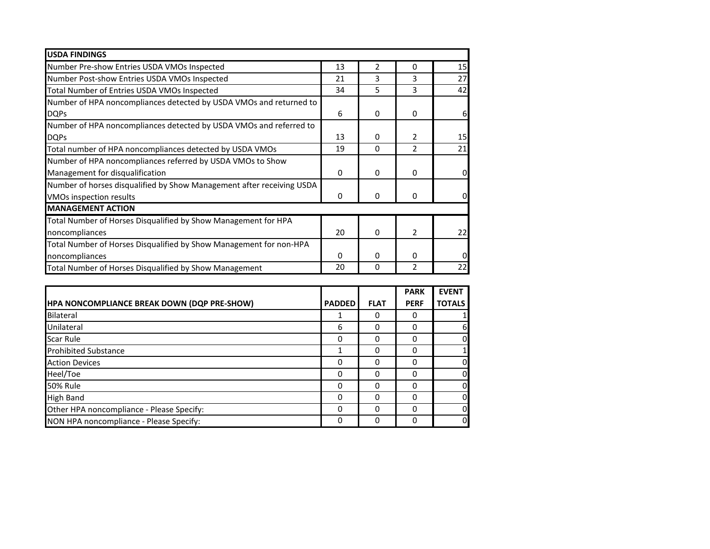| <b>USDA FINDINGS</b>                                                  |          |              |                |    |
|-----------------------------------------------------------------------|----------|--------------|----------------|----|
| Number Pre-show Entries USDA VMOs Inspected                           | 13       | 2            | 0              | 15 |
| Number Post-show Entries USDA VMOs Inspected                          | 21       | 3            | 3              | 27 |
| Total Number of Entries USDA VMOs Inspected                           | 34       | 5            | 3              | 42 |
| Number of HPA noncompliances detected by USDA VMOs and returned to    |          |              |                |    |
| <b>DQPs</b>                                                           | 6        | 0            | 0              | 6  |
| Number of HPA noncompliances detected by USDA VMOs and referred to    |          |              |                |    |
| <b>DQPs</b>                                                           | 13       | 0            | 2              | 15 |
| Total number of HPA noncompliances detected by USDA VMOs              | 19       | $\Omega$     | 2              | 21 |
| Number of HPA noncompliances referred by USDA VMOs to Show            |          |              |                |    |
| Management for disqualification                                       | 0        | 0            | 0              | 0  |
| Number of horses disqualified by Show Management after receiving USDA |          |              |                |    |
| VMOs inspection results                                               | $\Omega$ | $\mathbf{0}$ | $\Omega$       |    |
| <b>MANAGEMENT ACTION</b>                                              |          |              |                |    |
| Total Number of Horses Disqualified by Show Management for HPA        |          |              |                |    |
| noncompliances                                                        | 20       | $\Omega$     | $\overline{2}$ | 22 |
| Total Number of Horses Disqualified by Show Management for non-HPA    |          |              |                |    |
| noncompliances                                                        | 0        | 0            | 0              |    |
| Total Number of Horses Disqualified by Show Management                | 20       | 0            | 2              | 22 |

|                                             |               |             | <b>PARK</b> | <b>EVENT</b>  |
|---------------------------------------------|---------------|-------------|-------------|---------------|
| HPA NONCOMPLIANCE BREAK DOWN (DQP PRE-SHOW) | <b>PADDED</b> | <b>FLAT</b> | <b>PERF</b> | <b>TOTALS</b> |
| Bilateral                                   |               | 0           | O           |               |
| Unilateral                                  | 6             | 0           | 0           | 6             |
| <b>Scar Rule</b>                            | 0             | 0           | 0           | 0             |
| <b>Prohibited Substance</b>                 |               | 0           |             |               |
| <b>Action Devices</b>                       | 0             | 0           | 0           | 0             |
| Heel/Toe                                    | 0             | 0           |             | 0             |
| <b>50% Rule</b>                             | 0             | 0           |             | 0             |
| <b>High Band</b>                            | 0             | 0           |             | 0             |
| Other HPA noncompliance - Please Specify:   | 0             | 0           |             | 0             |
| NON HPA noncompliance - Please Specify:     | 0             | 0           |             | 0             |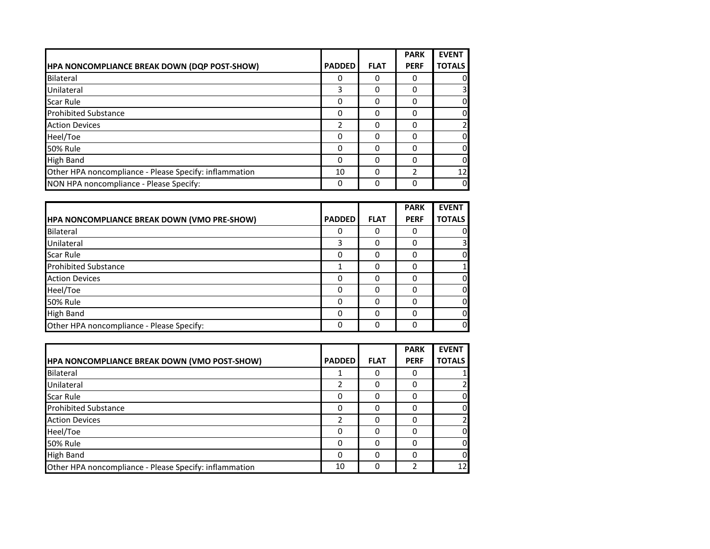|                                                        |               |             | <b>PARK</b>   | <b>EVENT</b>            |
|--------------------------------------------------------|---------------|-------------|---------------|-------------------------|
| HPA NONCOMPLIANCE BREAK DOWN (DQP POST-SHOW)           | <b>PADDED</b> | <b>FLAT</b> | <b>PERF</b>   | <b>TOTALS</b>           |
| Bilateral                                              | 0             | 0           |               | 01                      |
| Unilateral                                             | 3             | 0           |               | $\overline{\mathsf{3}}$ |
| Scar Rule                                              | 0             | 0           | 0             | <sub>0</sub>            |
| <b>Prohibited Substance</b>                            | 0             | 0           |               | $\overline{0}$          |
| <b>Action Devices</b>                                  | 2             | 0           |               | $\overline{2}$          |
| Heel/Toe                                               | 0             | 0           | 0             | <sub>0</sub>            |
| <b>50% Rule</b>                                        | 0             | 0           | 0             | <sub>0</sub>            |
| High Band                                              | 0             | 0           |               | $\overline{0}$          |
| Other HPA noncompliance - Please Specify: inflammation | 10            | $\Omega$    | $\mathcal{P}$ | 12                      |
| NON HPA noncompliance - Please Specify:                | 0             | 0           |               | <sub>0</sub>            |

|                                                    |               |             | <b>PARK</b> | <b>EVENT</b>  |
|----------------------------------------------------|---------------|-------------|-------------|---------------|
| <b>HPA NONCOMPLIANCE BREAK DOWN (VMO PRE-SHOW)</b> | <b>PADDED</b> | <b>FLAT</b> | <b>PERF</b> | <b>TOTALS</b> |
| Bilateral                                          | 0             | 0           |             |               |
| Unilateral                                         | 3             | 0           | O           |               |
| <b>Scar Rule</b>                                   | 0             | 0           |             |               |
| <b>Prohibited Substance</b>                        |               | 0           |             |               |
| <b>Action Devices</b>                              | 0             | 0           |             | n             |
| Heel/Toe                                           | 0             | 0           |             |               |
| <b>50% Rule</b>                                    | 0             | 0           |             | 0             |
| <b>High Band</b>                                   | $\Omega$      | 0           |             | $\Omega$      |
| Other HPA noncompliance - Please Specify:          | $\Omega$      | 0           |             | 0l            |

|                                                        |               |             | <b>PARK</b> | <b>EVENT</b>  |
|--------------------------------------------------------|---------------|-------------|-------------|---------------|
| <b>HPA NONCOMPLIANCE BREAK DOWN (VMO POST-SHOW)</b>    | <b>PADDED</b> | <b>FLAT</b> | <b>PERF</b> | <b>TOTALS</b> |
| Bilateral                                              |               |             | 0           |               |
| Unilateral                                             | า             |             | 0           |               |
| <b>Scar Rule</b>                                       | 0             |             | 0           |               |
| <b>Prohibited Substance</b>                            | 0             |             | 0           |               |
| <b>Action Devices</b>                                  | า             |             | 0           |               |
| Heel/Toe                                               | 0             |             | 0           |               |
| <b>50% Rule</b>                                        | 0             |             | 0           |               |
| High Band                                              | 0             |             | 0           |               |
| Other HPA noncompliance - Please Specify: inflammation | 10            | 0           | 2           | 12            |